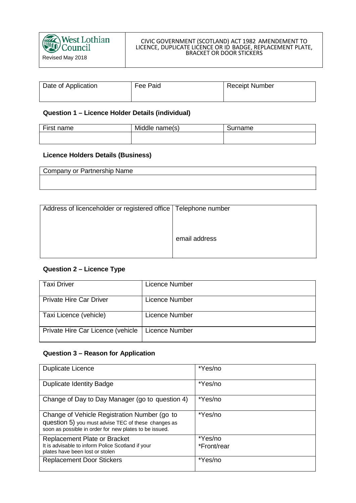#### CIVIC GOVERNMENT (SCOTLAND) ACT 1982 AMENDEMENT TO LICENCE, DUPLICATE LICENCE OR ID BADGE, REPLACEMENT PLATE, BRACKET OR DOOR STICKERS

| Date of Application | Fee Paid | <b>Receipt Number</b> |
|---------------------|----------|-----------------------|
|                     |          |                       |

## **Question 1 – Licence Holder Details (individual)**

| First name | Middle name(s)<br>∵rname<br>oun |  |
|------------|---------------------------------|--|
|            |                                 |  |

# **Licence Holders Details (Business)**

| Company or Partnership Name |  |
|-----------------------------|--|
|                             |  |
|                             |  |

| Address of licenceholder or registered office   Telephone number |               |
|------------------------------------------------------------------|---------------|
|                                                                  |               |
|                                                                  | email address |
|                                                                  |               |
|                                                                  |               |

# **Question 2 – Licence Type**

| <b>Taxi Driver</b>                | Licence Number |
|-----------------------------------|----------------|
| <b>Private Hire Car Driver</b>    | Licence Number |
| Taxi Licence (vehicle)            | Licence Number |
| Private Hire Car Licence (vehicle | Licence Number |

#### **Question 3 – Reason for Application**

| <b>Duplicate Licence</b>                                                                                                                                      | *Yes/no     |
|---------------------------------------------------------------------------------------------------------------------------------------------------------------|-------------|
| <b>Duplicate Identity Badge</b>                                                                                                                               | *Yes/no     |
| Change of Day to Day Manager (go to question 4)                                                                                                               | *Yes/no     |
| Change of Vehicle Registration Number (go to<br>question 5) you must advise TEC of these changes as<br>soon as possible in order for new plates to be issued. | *Yes/no     |
| <b>Replacement Plate or Bracket</b>                                                                                                                           | *Yes/no     |
| It is advisable to inform Police Scotland if your<br>plates have been lost or stolen                                                                          | *Front/rear |
| <b>Replacement Door Stickers</b>                                                                                                                              | *Yes/no     |